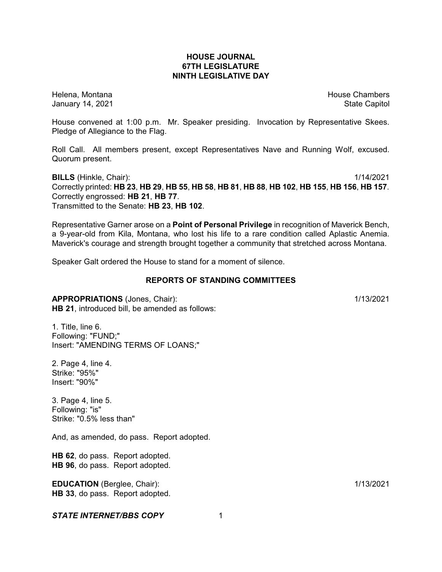# **HOUSE JOURNAL 67TH LEGISLATURE NINTH LEGISLATIVE DAY**

Helena, Montana House Chambers Chambers Chambers and House Chambers Chambers Chambers Chambers Chambers Chambers Chambers Chambers Chambers Chambers Chambers Chambers Chambers Chambers Chambers Chambers Chambers Chambers C January 14, 2021 **State Capitol** 

House convened at 1:00 p.m. Mr. Speaker presiding. Invocation by Representative Skees. Pledge of Allegiance to the Flag.

Roll Call. All members present, except Representatives Nave and Running Wolf, excused. Quorum present.

**BILLS** (Hinkle, Chair): 1/14/2021 Correctly printed: HB 23, HB 29, HB 55, HB 58, HB 81, HB 88, HB 102, HB 155, HB 156, HB 157. Correctly engrossed: **HB 21**, **HB 77**. Transmitted to the Senate: **HB 23**, **HB 102**.

Representative Garner arose on a **Point of Personal Privilege** in recognition of Maverick Bench, a 9-year-old from Kila, Montana, who lost his life to a rare condition called Aplastic Anemia. Maverick's courage and strength brought together a community that stretched across Montana.

Speaker Galt ordered the House to stand for a moment of silence.

#### **REPORTS OF STANDING COMMITTEES**

**APPROPRIATIONS** (Jones, Chair): 1/13/2021 **HB 21**, introduced bill, be amended as follows:

1. Title, line 6. Following: "FUND;" Insert: "AMENDING TERMS OF LOANS;"

2. Page 4, line 4. Strike: "95%" Insert: "90%"

3. Page 4, line 5. Following: "is" Strike: "0.5% less than"

And, as amended, do pass. Report adopted.

**HB 62**, do pass. Report adopted. **HB 96**, do pass. Report adopted.

**EDUCATION** (Berglee, Chair): 1/13/2021 **HB 33**, do pass. Report adopted.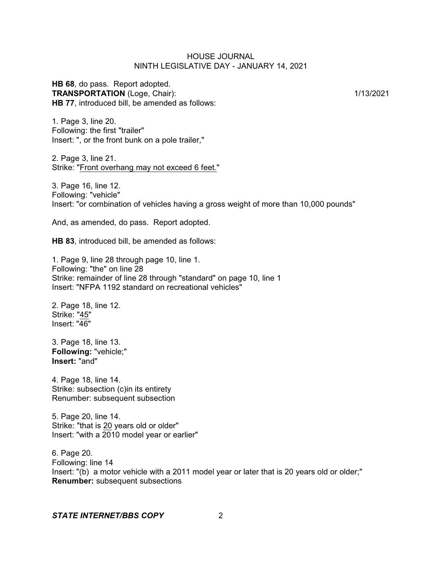**HB 68**, do pass. Report adopted. **TRANSPORTATION** (Loge, Chair): 1/13/2021 **HB 77**, introduced bill, be amended as follows:

1. Page 3, line 20. Following: the first "trailer" Insert: ", or the front bunk on a pole trailer,"

2. Page 3, line 21. Strike: "Front overhang may not exceed 6 feet."

3. Page 16, line 12. Following: "vehicle" Insert: "or combination of vehicles having a gross weight of more than 10,000 pounds"

And, as amended, do pass. Report adopted.

**HB 83**, introduced bill, be amended as follows:

1. Page 9, line 28 through page 10, line 1. Following: "the" on line 28 Strike: remainder of line 28 through "standard" on page 10, line 1 Insert: "NFPA 1192 standard on recreational vehicles"

2. Page 18, line 12. Strike: "45" Insert: "46"

3. Page 18, line 13. **Following:** "vehicle;" **Insert:** "and"

4. Page 18, line 14. Strike: subsection (c)in its entirety Renumber: subsequent subsection

5. Page 20, line 14. Strike: "that is 20 years old or older" Insert: "with a 2010 model year or earlier"

6. Page 20. Following: line 14 Insert: "(b) a motor vehicle with a 2011 model year or later that is 20 years old or older;" **Renumber:** subsequent subsections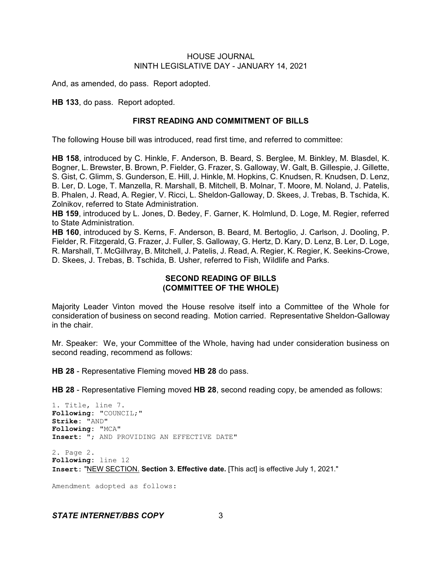And, as amended, do pass. Report adopted.

**HB 133**, do pass. Report adopted.

#### **FIRST READING AND COMMITMENT OF BILLS**

The following House bill was introduced, read first time, and referred to committee:

**HB 158**, introduced by C. Hinkle, F. Anderson, B. Beard, S. Berglee, M. Binkley, M. Blasdel, K. Bogner, L. Brewster, B. Brown, P. Fielder, G. Frazer, S. Galloway, W. Galt, B. Gillespie, J. Gillette, S. Gist, C. Glimm, S. Gunderson, E. Hill, J. Hinkle, M. Hopkins, C. Knudsen, R. Knudsen, D. Lenz, B. Ler, D. Loge, T. Manzella, R. Marshall, B. Mitchell, B. Molnar, T. Moore, M. Noland, J. Patelis, B. Phalen, J. Read, A. Regier, V. Ricci, L. Sheldon-Galloway, D. Skees, J. Trebas, B. Tschida, K. Zolnikov, referred to State Administration.

**HB 159**, introduced by L. Jones, D. Bedey, F. Garner, K. Holmlund, D. Loge, M. Regier, referred to State Administration.

**HB 160**, introduced by S. Kerns, F. Anderson, B. Beard, M. Bertoglio, J. Carlson, J. Dooling, P. Fielder, R. Fitzgerald, G. Frazer, J. Fuller, S. Galloway, G. Hertz, D. Kary, D. Lenz, B. Ler, D. Loge, R. Marshall, T. McGillvray, B. Mitchell, J. Patelis, J. Read, A. Regier, K. Regier, K. Seekins-Crowe, D. Skees, J. Trebas, B. Tschida, B. Usher, referred to Fish, Wildlife and Parks.

## **SECOND READING OF BILLS (COMMITTEE OF THE WHOLE)**

Majority Leader Vinton moved the House resolve itself into a Committee of the Whole for consideration of business on second reading. Motion carried. Representative Sheldon-Galloway in the chair.

Mr. Speaker: We, your Committee of the Whole, having had under consideration business on second reading, recommend as follows:

**HB 28** - Representative Fleming moved **HB 28** do pass.

**HB 28** - Representative Fleming moved **HB 28**, second reading copy, be amended as follows:

```
1. Title, line 7.
Following: "COUNCIL;"
Strike: "AND"
Following: "MCA"
Insert: "; AND PROVIDING AN EFFECTIVE DATE"
```
2. Page 2. **Following:** line 12 **Insert:** "NEW SECTION. **Section 3. Effective date.** [This act] is effective July 1, 2021."

Amendment adopted as follows: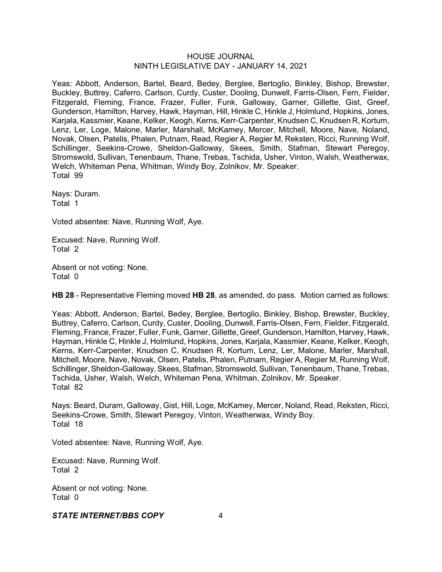Yeas: Abbott, Anderson, Bartel, Beard, Bedey, Berglee, Bertoglio, Binkley, Bishop, Brewster, Buckley, Buttrey, Caferro, Carlson, Curdy, Custer, Dooling, Dunwell, Farris-Olsen, Fern, Fielder, Fitzgerald, Fleming, France, Frazer, Fuller, Funk, Galloway, Garner, Gillette, Gist, Greef, Gunderson, Hamilton, Harvey, Hawk, Hayman, Hill, Hinkle C, Hinkle J, Holmlund, Hopkins, Jones, Karjala, Kassmier, Keane, Kelker, Keogh, Kerns, Kerr-Carpenter, Knudsen C, Knudsen R, Kortum, Lenz, Ler, Loge, Malone, Marler, Marshall, McKamey, Mercer, Mitchell, Moore, Nave, Noland, Novak, Olsen, Patelis, Phalen, Putnam, Read, Regier A, Regier M, Reksten, Ricci, Running Wolf, Schillinger, Seekins-Crowe, Sheldon-Galloway, Skees, Smith, Stafman, Stewart Peregoy, Stromswold, Sullivan, Tenenbaum, Thane, Trebas, Tschida, Usher, Vinton, Walsh, Weatherwax, Welch, Whiteman Pena, Whitman, Windy Boy, Zolnikov, Mr. Speaker. Total 99

Nays: Duram. Total 1

Voted absentee: Nave, Running Wolf, Aye.

Excused: Nave, Running Wolf. Total 2

Absent or not voting: None. Total 0

**HB 28** - Representative Fleming moved **HB 28**, as amended, do pass. Motion carried as follows:

Yeas: Abbott, Anderson, Bartel, Bedey, Berglee, Bertoglio, Binkley, Bishop, Brewster, Buckley, Buttrey, Caferro, Carlson, Curdy, Custer, Dooling, Dunwell, Farris-Olsen, Fern, Fielder, Fitzgerald, Fleming, France, Frazer, Fuller, Funk, Garner, Gillette,Greef, Gunderson, Hamilton, Harvey, Hawk, Hayman, Hinkle C, Hinkle J, Holmlund, Hopkins, Jones, Karjala, Kassmier, Keane, Kelker, Keogh, Kerns, Kerr-Carpenter, Knudsen C, Knudsen R, Kortum, Lenz, Ler, Malone, Marler, Marshall, Mitchell, Moore, Nave, Novak, Olsen, Patelis, Phalen, Putnam, Regier A, Regier M, Running Wolf, Schillinger, Sheldon-Galloway, Skees, Stafman, Stromswold, Sullivan, Tenenbaum, Thane, Trebas, Tschida, Usher, Walsh, Welch, Whiteman Pena, Whitman, Zolnikov, Mr. Speaker. Total 82

Nays: Beard, Duram, Galloway, Gist, Hill, Loge, McKamey, Mercer, Noland, Read, Reksten, Ricci, Seekins-Crowe, Smith, Stewart Peregoy, Vinton, Weatherwax, Windy Boy. Total 18

Voted absentee: Nave, Running Wolf, Aye.

Excused: Nave, Running Wolf. Total 2

Absent or not voting: None. Total 0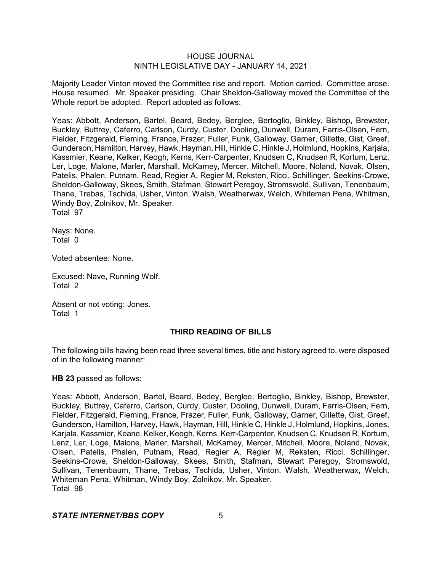Majority Leader Vinton moved the Committee rise and report. Motion carried. Committee arose. House resumed. Mr. Speaker presiding. Chair Sheldon-Galloway moved the Committee of the Whole report be adopted. Report adopted as follows:

Yeas: Abbott, Anderson, Bartel, Beard, Bedey, Berglee, Bertoglio, Binkley, Bishop, Brewster, Buckley, Buttrey, Caferro, Carlson, Curdy, Custer, Dooling, Dunwell, Duram, Farris-Olsen, Fern, Fielder, Fitzgerald, Fleming, France, Frazer, Fuller, Funk, Galloway, Garner, Gillette, Gist, Greef, Gunderson, Hamilton, Harvey, Hawk, Hayman, Hill, Hinkle C, Hinkle J, Holmlund, Hopkins, Karjala, Kassmier, Keane, Kelker, Keogh, Kerns, Kerr-Carpenter, Knudsen C, Knudsen R, Kortum, Lenz, Ler, Loge, Malone, Marler, Marshall, McKamey, Mercer, Mitchell, Moore, Noland, Novak, Olsen, Patelis, Phalen, Putnam, Read, Regier A, Regier M, Reksten, Ricci, Schillinger, Seekins-Crowe, Sheldon-Galloway, Skees, Smith, Stafman, Stewart Peregoy, Stromswold, Sullivan, Tenenbaum, Thane, Trebas, Tschida, Usher, Vinton, Walsh, Weatherwax, Welch, Whiteman Pena, Whitman, Windy Boy, Zolnikov, Mr. Speaker. Total 97

Nays: None. Total 0

Voted absentee: None.

Excused: Nave, Running Wolf. Total 2

Absent or not voting: Jones. Total 1

## **THIRD READING OF BILLS**

The following bills having been read three several times, title and history agreed to, were disposed of in the following manner:

**HB 23** passed as follows:

Yeas: Abbott, Anderson, Bartel, Beard, Bedey, Berglee, Bertoglio, Binkley, Bishop, Brewster, Buckley, Buttrey, Caferro, Carlson, Curdy, Custer, Dooling, Dunwell, Duram, Farris-Olsen, Fern, Fielder, Fitzgerald, Fleming, France, Frazer, Fuller, Funk, Galloway, Garner, Gillette, Gist, Greef, Gunderson, Hamilton, Harvey, Hawk, Hayman, Hill, Hinkle C, Hinkle J, Holmlund, Hopkins, Jones, Karjala, Kassmier, Keane, Kelker, Keogh, Kerns, Kerr-Carpenter, Knudsen C, Knudsen R, Kortum, Lenz, Ler, Loge, Malone, Marler, Marshall, McKamey, Mercer, Mitchell, Moore, Noland, Novak, Olsen, Patelis, Phalen, Putnam, Read, Regier A, Regier M, Reksten, Ricci, Schillinger, Seekins-Crowe, Sheldon-Galloway, Skees, Smith, Stafman, Stewart Peregoy, Stromswold, Sullivan, Tenenbaum, Thane, Trebas, Tschida, Usher, Vinton, Walsh, Weatherwax, Welch, Whiteman Pena, Whitman, Windy Boy, Zolnikov, Mr. Speaker. Total 98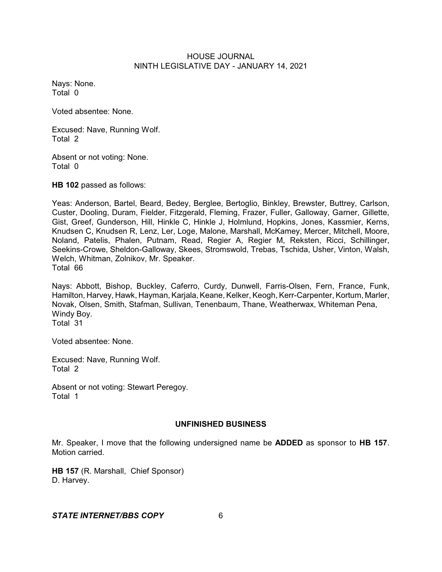Nays: None. Total 0

Voted absentee: None.

Excused: Nave, Running Wolf. Total 2

Absent or not voting: None. Total 0

**HB 102** passed as follows:

Yeas: Anderson, Bartel, Beard, Bedey, Berglee, Bertoglio, Binkley, Brewster, Buttrey, Carlson, Custer, Dooling, Duram, Fielder, Fitzgerald, Fleming, Frazer, Fuller, Galloway, Garner, Gillette, Gist, Greef, Gunderson, Hill, Hinkle C, Hinkle J, Holmlund, Hopkins, Jones, Kassmier, Kerns, Knudsen C, Knudsen R, Lenz, Ler, Loge, Malone, Marshall, McKamey, Mercer, Mitchell, Moore, Noland, Patelis, Phalen, Putnam, Read, Regier A, Regier M, Reksten, Ricci, Schillinger, Seekins-Crowe, Sheldon-Galloway, Skees, Stromswold, Trebas, Tschida, Usher, Vinton, Walsh, Welch, Whitman, Zolnikov, Mr. Speaker. Total 66

Nays: Abbott, Bishop, Buckley, Caferro, Curdy, Dunwell, Farris-Olsen, Fern, France, Funk, Hamilton, Harvey, Hawk, Hayman, Karjala, Keane, Kelker, Keogh, Kerr-Carpenter, Kortum, Marler, Novak, Olsen, Smith, Stafman, Sullivan, Tenenbaum, Thane, Weatherwax, Whiteman Pena, Windy Boy. Total 31

Voted absentee: None.

Excused: Nave, Running Wolf. Total 2

Absent or not voting: Stewart Peregoy. Total 1

## **UNFINISHED BUSINESS**

Mr. Speaker, I move that the following undersigned name be **ADDED** as sponsor to **HB 157**. Motion carried.

**HB 157** (R. Marshall, Chief Sponsor) D. Harvey.